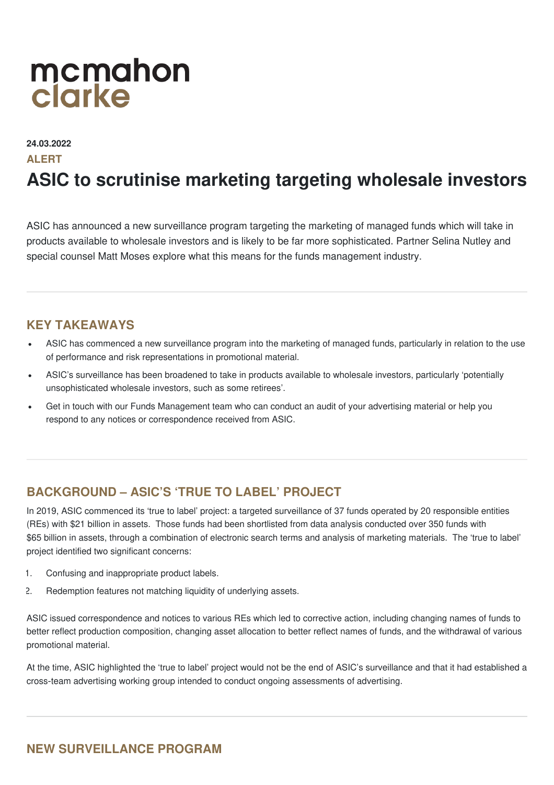# mcmahon clarke

**24.03.2022**

#### **ALERT**

## **ASIC to scrutinise marketing targeting wholesale investors**

ASIC has announced a new surveillance program targeting the marketing of managed funds which will take in products available to wholesale investors and is likely to be far more sophisticated. Partner Selina Nutley and special counsel Matt Moses explore what this means for the funds management industry.

#### **KEY TAKEAWAYS**

- ASIC has commenced a new surveillance program into the marketing of managed funds, particularly in relation to the use of performance and risk representations in promotional material.
- ASIC's surveillance has been broadened to take in products available to wholesale investors, particularly 'potentially unsophisticated wholesale investors, such as some retirees'.
- Get in touch with our Funds Management team who can conduct an audit of your advertising material or help you respond to any notices or correspondence received from ASIC.

### **BACKGROUND – ASIC'S 'TRUE TO LABEL' PROJECT**

In 2019, ASIC commenced its 'true to label' project: a targeted surveillance of 37 funds operated by 20 responsible entities (REs) with \$21 billion in assets. Those funds had been shortlisted from data analysis conducted over 350 funds with \$65 billion in assets, through a combination of electronic search terms and analysis of marketing materials. The 'true to label' project identified two significant concerns:

- 1. Confusing and inappropriate product labels.
- 2. Redemption features not matching liquidity of underlying assets.

ASIC issued correspondence and notices to various REs which led to corrective action, including changing names of funds to better reflect production composition, changing asset allocation to better reflect names of funds, and the withdrawal of various promotional material.

At the time, ASIC highlighted the 'true to label' project would not be the end of ASIC's surveillance and that it had established a cross‑team advertising working group intended to conduct ongoing assessments of advertising.

### **NEW SURVEILLANCE PROGRAM**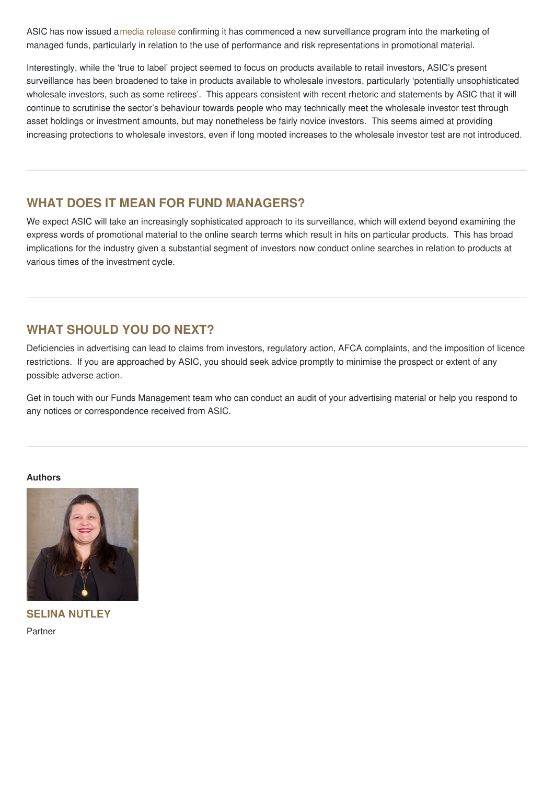ASIC has now issued amedia [release](https://asic.gov.au/about-asic/news-centre/find-a-media-release/2022-releases/22-061mr-asic-scrutinises-marketing-of-managed-fund-performance-and-risks/?utm_medium=email&utm_campaign=22-061MR ASIC scrutinises marketing of managed fund performance and risks&utm_content=22-061MR ASIC scrutinises marketing of managed fund performance and risks+CID_76acc36f9e3cd96f88389341d172ab7e&utm_source=ASICemail&utm_term=22-061MR ASIC scrutinises marketing of managed fund performance and risks) confirming it has commenced a new surveillance program into the marketing of managed funds, particularly in relation to the use of performance and risk representations in promotional material.

Interestingly, while the 'true to label' project seemed to focus on products available to retail investors, ASIC's present surveillance has been broadened to take in products available to wholesale investors, particularly 'potentially unsophisticated wholesale investors, such as some retirees'. This appears consistent with recent rhetoric and statements by ASIC that it will continue to scrutinise the sector's behaviour towards people who may technically meet the wholesale investor test through asset holdings or investment amounts, but may nonetheless be fairly novice investors. This seems aimed at providing increasing protections to wholesale investors, even if long mooted increases to the wholesale investor test are not introduced.

#### **WHAT DOES IT MEAN FOR FUND MANAGERS?**

We expect ASIC will take an increasingly sophisticated approach to its surveillance, which will extend beyond examining the express words of promotional material to the online search terms which result in hits on particular products. This has broad implications for the industry given a substantial segment of investors now conduct online searches in relation to products at various times of the investment cycle.

### **WHAT SHOULD YOU DO NEXT?**

Deficiencies in advertising can lead to claims from investors, regulatory action, AFCA complaints, and the imposition of licence restrictions. If you are approached by ASIC, you should seek advice promptly to minimise the prospect or extent of any possible adverse action.

Get in touch with our Funds Management team who can conduct an audit of your advertising material or help you respond to any notices or correspondence received from ASIC.

#### **Authors**



**SELINA NUTLEY** Partner